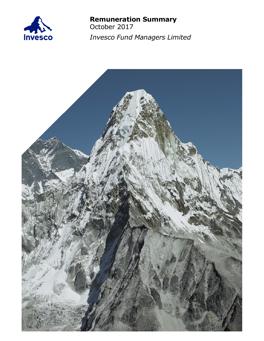

# **Remuneration Summary**

October 2017 *Invesco Fund Managers Limited*

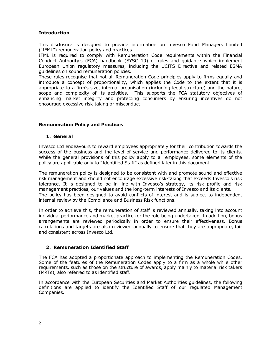## **Introduction**

This disclosure is designed to provide information on Invesco Fund Managers Limited ("IFML") remuneration policy and practices.

IFML is required to comply with Remuneration Code requirements within the Financial Conduct Authority's (FCA) handbook (SYSC 19) of rules and guidance which implement European Union regulatory measures, including the UCITS Directive and related ESMA guidelines on sound remuneration policies.

These rules recognise that not all Remuneration Code principles apply to firms equally and introduce a concept of proportionality, which applies the Code to the extent that it is appropriate to a firm's size, internal organisation (including legal structure) and the nature, scope and complexity of its activities. This supports the FCA statutory objectives of enhancing market integrity and protecting consumers by ensuring incentives do not encourage excessive risk-taking or misconduct.

## **Remuneration Policy and Practices**

### **1. General**

Invesco Ltd endeavours to reward employees appropriately for their contribution towards the success of the business and the level of service and performance delivered to its clients. While the general provisions of this policy apply to all employees, some elements of the policy are applicable only to "Identified Staff" as defined later in this document.

The remuneration policy is designed to be consistent with and promote sound and effective risk management and should not encourage excessive risk-taking that exceeds Invesco's risk tolerance. It is designed to be in line with Invesco's strategy, its risk profile and risk management practices, our values and the long-term interests of Invesco and its clients. The policy has been designed to avoid conflicts of interest and is subject to independent internal review by the Compliance and Business Risk functions.

In order to achieve this, the remuneration of staff is reviewed annually, taking into account individual performance and market practice for the role being undertaken. In addition, bonus arrangements are reviewed periodically in order to ensure their effectiveness. Bonus calculations and targets are also reviewed annually to ensure that they are appropriate, fair and consistent across Invesco Ltd.

## **2. Remuneration Identified Staff**

The FCA has adopted a proportionate approach to implementing the Remuneration Codes. Some of the features of the Remuneration Codes apply to a firm as a whole while other requirements, such as those on the structure of awards, apply mainly to material risk takers (MRTs), also referred to as identified staff.

In accordance with the European Securities and Market Authorities guidelines, the following definitions are applied to identify the Identified Staff of our regulated Management Companies.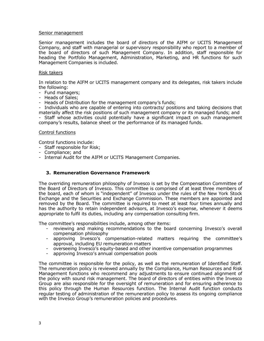#### Senior management

Senior management includes the board of directors of the AIFM or UCITS Management Company, and staff with managerial or supervisory responsibility who report to a member of the board of directors of such Management Company. In addition, staff responsible for heading the Portfolio Management, Administration, Marketing, and HR functions for such Management Companies is included.

#### Risk takers

In relation to the AIFM or UCITS management company and its delegates, risk takers include the following:

- Fund managers;
- Heads of Sales;

- Heads of Distribution for the management company's funds;

- Individuals who are capable of entering into contracts/ positions and taking decisions that materially affect the risk positions of such management company or its managed funds; and

- Staff whose activities could potentially have a significant impact on such management company's results, balance sheet or the performance of its managed funds.

#### Control functions

Control functions include:

- Staff responsible for Risk;
- Compliance; and
- Internal Audit for the AIFM or UCITS Management Companies.

## **3. Remuneration Governance Framework**

The overriding remuneration philosophy of Invesco is set by the Compensation Committee of the Board of Directors of Invesco. This committee is comprised of at least three members of the board, each of whom is "independent" of Invesco under the rules of the New York Stock Exchange and the Securities and Exchange Commission. These members are appointed and removed by the Board. The committee is required to meet at least four times annually and has the authority to retain independent advisors, at Invesco's expense, whenever it deems appropriate to fulfil its duties, including any compensation consulting firm.

The committee's responsibilities include, among other items:

- reviewing and making recommendations to the board concerning Invesco's overall compensation philosophy
- approving Invesco's compensation-related matters requiring the committee's approval, including EU remuneration matters
- overseeing Invesco's equity-based and other incentive compensation programmes
- approving Invesco's annual compensation pools

The committee is responsible for the policy, as well as the remuneration of Identified Staff. The remuneration policy is reviewed annually by the Compliance, Human Resources and Risk Management functions who recommend any adjustments to ensure continued alignment of the policy with sound risk management. The board of directors of entities within the Invesco Group are also responsible for the oversight of remuneration and for ensuring adherence to this policy through the Human Resources function. The Internal Audit function conducts regular testing of administration of the remuneration policy to assess its ongoing compliance with the Invesco Group's remuneration policies and procedures.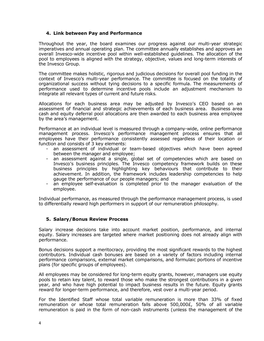## **4. Link between Pay and Performance**

Throughout the year, the board examines our progress against our multi-year strategic imperatives and annual operating plan. The committee annually establishes and approves an overall Invesco-wide incentive pool within well-established guidelines. The allocation of the pool to employees is aligned with the strategy, objective, values and long-term interests of the Invesco Group.

The committee makes holistic, rigorous and judicious decisions for overall pool funding in the context of Invesco's multi-year performance. The committee is focused on the totality of organizational success without tying decisions to a specific formula. The measurements of performance used to determine incentive pools include an adjustment mechanism to integrate all relevant types of current and future risks.

Allocations for each business area may be adjusted by Invesco's CEO based on an assessment of financial and strategic achievements of each business area. Business area cash and equity deferral pool allocations are then awarded to each business area employee by the area's management.

Performance at an individual level is measured through a company-wide, online performance management process. Invesco's performance management process ensures that all employees have their performance consistently assessed regardless of their location or function and consists of 3 key elements:

- an assessment of individual or team-based objectives which have been agreed between the manager and employee;
- an assessment against a single, global set of competencies which are based on Invesco's business principles. The Invesco competency framework builds on these business principles by highlighting key behaviours that contribute to their achievement. In addition, the framework includes leadership competencies to help gauge the performance of our people managers; and
- an employee self-evaluation is completed prior to the manager evaluation of the employee.

Individual performance, as measured through the performance management process, is used to differentially reward high performers in support of our remuneration philosophy.

# **5. Salary/Bonus Review Process**

Salary increase decisions take into account market position, performance, and internal equity. Salary increases are targeted where market positioning does not already align with performance.

Bonus decisions support a meritocracy, providing the most significant rewards to the highest contributors. Individual cash bonuses are based on a variety of factors including internal performance comparisons, external market comparisons, and formulaic portions of incentive plans (for specific groups of employees).

All employees may be considered for long-term equity grants, however, managers use equity pools to retain key talent, to reward those who make the strongest contributions in a given year, and who have high potential to impact business results in the future. Equity grants reward for longer-term performance, and therefore, vest over a multi-year period.

For the Identified Staff whose total variable remuneration is more than 33% of fixed remuneration or whose total remuneration falls above 500,000£, 50% of all variable remuneration is paid in the form of non-cash instruments (unless the management of the